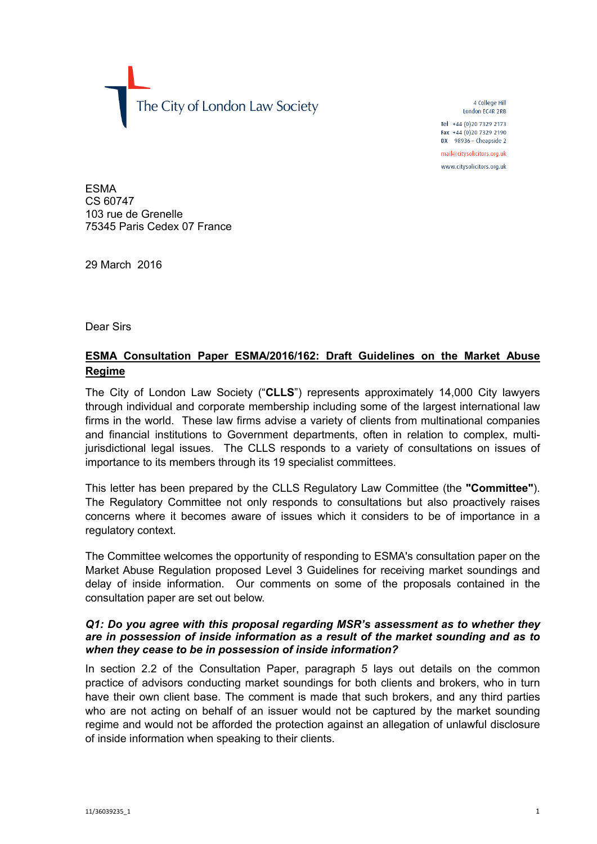The City of London Law Society

4 College Hill London FC4R 2RB

Tel +44 (0)20 7329 2173 Fax +44 (0)20 7329 2190 DX  $98936$  - Cheapside 2

mail@citysolicitors.org.uk

www.citysolicitors.org.uk

ESMA CS 60747 103 rue de Grenelle 75345 Paris Cedex 07 France

29 March 2016

Dear Sirs

# **ESMA Consultation Paper ESMA/2016/162: Draft Guidelines on the Market Abuse Regime**

The City of London Law Society ("**CLLS**") represents approximately 14,000 City lawyers through individual and corporate membership including some of the largest international law firms in the world. These law firms advise a variety of clients from multinational companies and financial institutions to Government departments, often in relation to complex, multijurisdictional legal issues. The CLLS responds to a variety of consultations on issues of importance to its members through its 19 specialist committees.

This letter has been prepared by the CLLS Regulatory Law Committee (the **"Committee"**). The Regulatory Committee not only responds to consultations but also proactively raises concerns where it becomes aware of issues which it considers to be of importance in a regulatory context.

The Committee welcomes the opportunity of responding to ESMA's consultation paper on the Market Abuse Regulation proposed Level 3 Guidelines for receiving market soundings and delay of inside information. Our comments on some of the proposals contained in the consultation paper are set out below.

#### *Q1: Do you agree with this proposal regarding MSR's assessment as to whether they are in possession of inside information as a result of the market sounding and as to when they cease to be in possession of inside information?*

In section 2.2 of the Consultation Paper, paragraph 5 lays out details on the common practice of advisors conducting market soundings for both clients and brokers, who in turn have their own client base. The comment is made that such brokers, and any third parties who are not acting on behalf of an issuer would not be captured by the market sounding regime and would not be afforded the protection against an allegation of unlawful disclosure of inside information when speaking to their clients.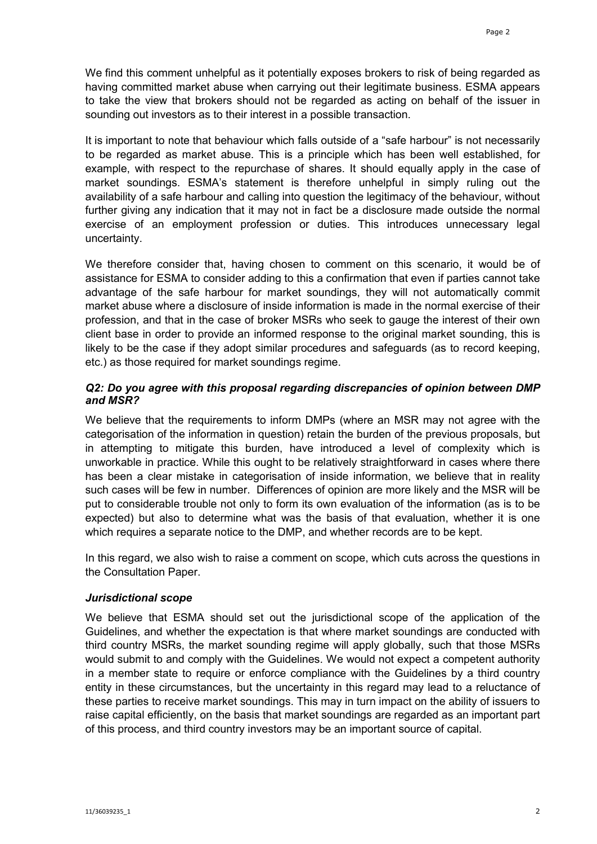We find this comment unhelpful as it potentially exposes brokers to risk of being regarded as having committed market abuse when carrying out their legitimate business. ESMA appears to take the view that brokers should not be regarded as acting on behalf of the issuer in sounding out investors as to their interest in a possible transaction.

It is important to note that behaviour which falls outside of a "safe harbour" is not necessarily to be regarded as market abuse. This is a principle which has been well established, for example, with respect to the repurchase of shares. It should equally apply in the case of market soundings. ESMA's statement is therefore unhelpful in simply ruling out the availability of a safe harbour and calling into question the legitimacy of the behaviour, without further giving any indication that it may not in fact be a disclosure made outside the normal exercise of an employment profession or duties. This introduces unnecessary legal uncertainty.

We therefore consider that, having chosen to comment on this scenario, it would be of assistance for ESMA to consider adding to this a confirmation that even if parties cannot take advantage of the safe harbour for market soundings, they will not automatically commit market abuse where a disclosure of inside information is made in the normal exercise of their profession, and that in the case of broker MSRs who seek to gauge the interest of their own client base in order to provide an informed response to the original market sounding, this is likely to be the case if they adopt similar procedures and safeguards (as to record keeping, etc.) as those required for market soundings regime.

### *Q2: Do you agree with this proposal regarding discrepancies of opinion between DMP and MSR?*

We believe that the requirements to inform DMPs (where an MSR may not agree with the categorisation of the information in question) retain the burden of the previous proposals, but in attempting to mitigate this burden, have introduced a level of complexity which is unworkable in practice. While this ought to be relatively straightforward in cases where there has been a clear mistake in categorisation of inside information, we believe that in reality such cases will be few in number. Differences of opinion are more likely and the MSR will be put to considerable trouble not only to form its own evaluation of the information (as is to be expected) but also to determine what was the basis of that evaluation, whether it is one which requires a separate notice to the DMP, and whether records are to be kept.

In this regard, we also wish to raise a comment on scope, which cuts across the questions in the Consultation Paper.

#### *Jurisdictional scope*

We believe that ESMA should set out the jurisdictional scope of the application of the Guidelines, and whether the expectation is that where market soundings are conducted with third country MSRs, the market sounding regime will apply globally, such that those MSRs would submit to and comply with the Guidelines. We would not expect a competent authority in a member state to require or enforce compliance with the Guidelines by a third country entity in these circumstances, but the uncertainty in this regard may lead to a reluctance of these parties to receive market soundings. This may in turn impact on the ability of issuers to raise capital efficiently, on the basis that market soundings are regarded as an important part of this process, and third country investors may be an important source of capital.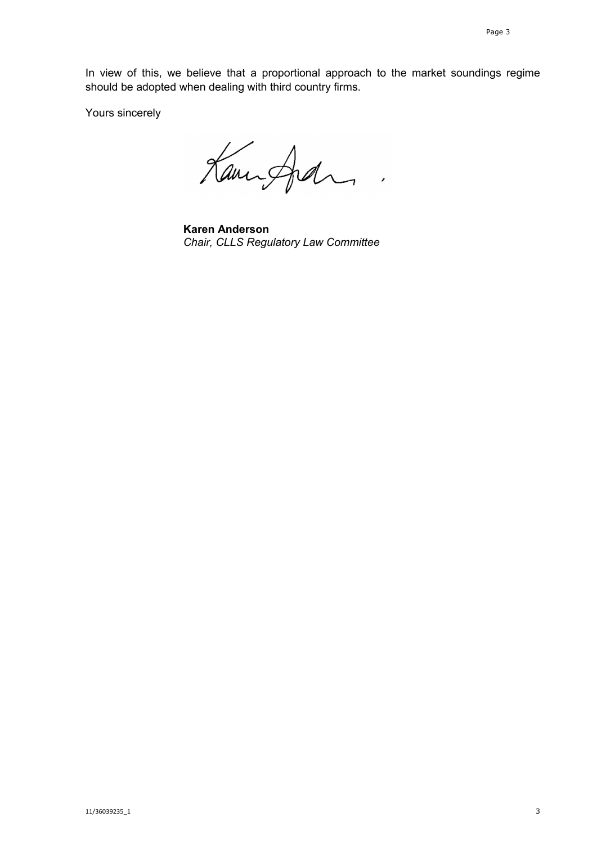In view of this, we believe that a proportional approach to the market soundings regime should be adopted when dealing with third country firms.

Yours sincerely

Kampfal  $\mathbb{R}^2$ 

**Karen Anderson** *Chair, CLLS Regulatory Law Committee*